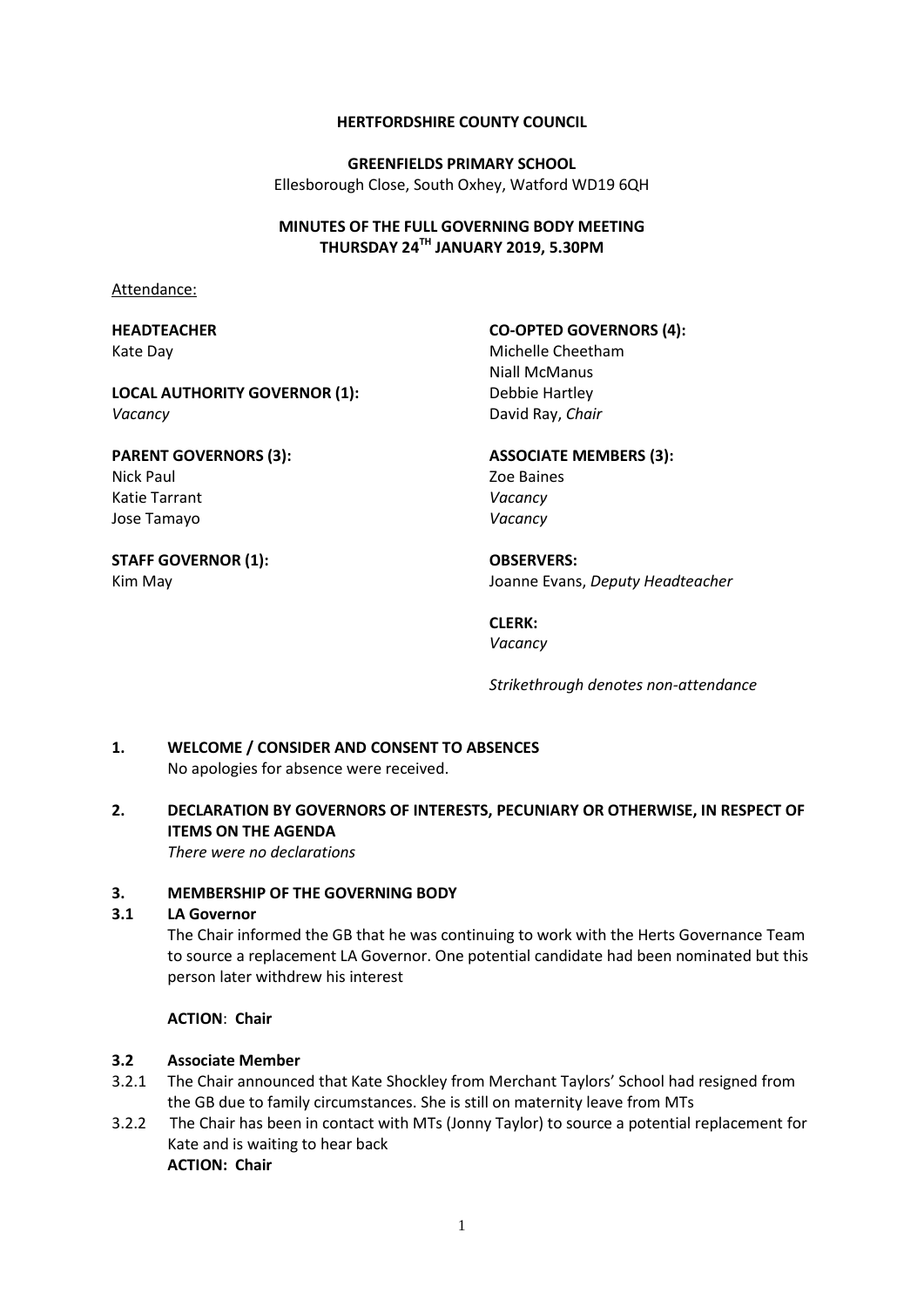#### **HERTFORDSHIRE COUNTY COUNCIL**

**GREENFIELDS PRIMARY SCHOOL** Ellesborough Close, South Oxhey, Watford WD19 6QH

#### **MINUTES OF THE FULL GOVERNING BODY MEETING THURSDAY 24TH JANUARY 2019, 5.30PM**

Attendance:

#### **HEADTEACHER** Kate Day

# **CO-OPTED GOVERNORS (4):**

**ASSOCIATE MEMBERS (3):**

Michelle Cheetham Niall McManus Debbie Hartley David Ray, *Chair*

# **PARENT GOVERNORS (3):** Nick Paul

**LOCAL AUTHORITY GOVERNOR (1):**

Katie Tarrant Jose Tamayo

# **STAFF GOVERNOR (1):**

Kim May

*Vacancy*

# *Vacancy Vacancy*

**OBSERVERS:** Joanne Evans, *Deputy Headteacher*

#### **CLERK:** *Vacancy*

Zoe Baines

*Strikethrough denotes non-attendance*

#### **1. WELCOME / CONSIDER AND CONSENT TO ABSENCES** No apologies for absence were received.

# **2. DECLARATION BY GOVERNORS OF INTERESTS, PECUNIARY OR OTHERWISE, IN RESPECT OF ITEMS ON THE AGENDA**

*There were no declarations*

# **3. MEMBERSHIP OF THE GOVERNING BODY**

#### **3.1 LA Governor**

The Chair informed the GB that he was continuing to work with the Herts Governance Team to source a replacement LA Governor. One potential candidate had been nominated but this person later withdrew his interest

# **ACTION**: **Chair**

# **3.2 Associate Member**

- 3.2.1 The Chair announced that Kate Shockley from Merchant Taylors' School had resigned from the GB due to family circumstances. She is still on maternity leave from MTs
- 3.2.2 The Chair has been in contact with MTs (Jonny Taylor) to source a potential replacement for Kate and is waiting to hear back **ACTION: Chair**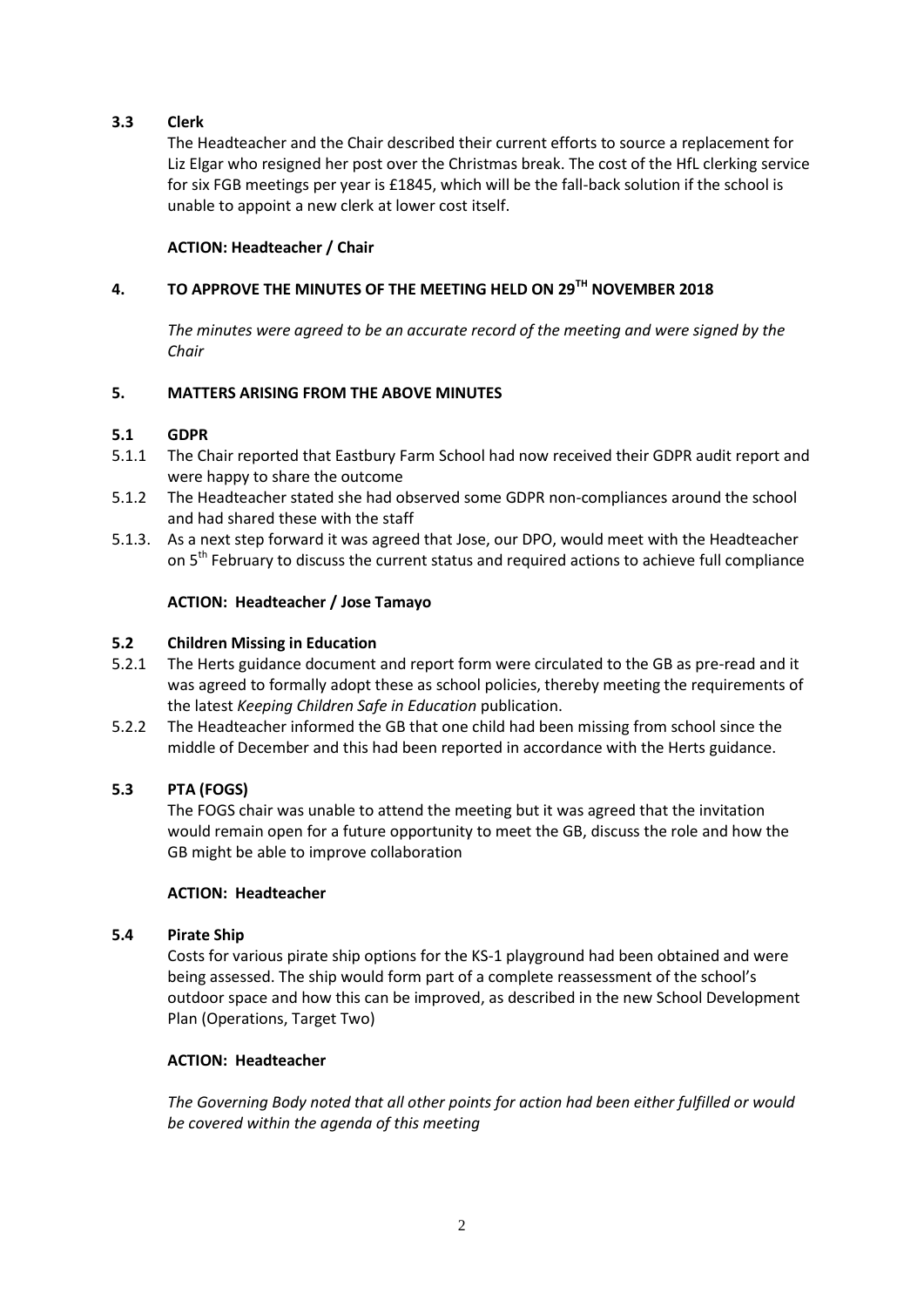# **3.3 Clerk**

The Headteacher and the Chair described their current efforts to source a replacement for Liz Elgar who resigned her post over the Christmas break. The cost of the HfL clerking service for six FGB meetings per year is £1845, which will be the fall-back solution if the school is unable to appoint a new clerk at lower cost itself.

#### **ACTION: Headteacher / Chair**

# **4. TO APPROVE THE MINUTES OF THE MEETING HELD ON 29TH NOVEMBER 2018**

*The minutes were agreed to be an accurate record of the meeting and were signed by the Chair*

## **5. MATTERS ARISING FROM THE ABOVE MINUTES**

## **5.1 GDPR**

- 5.1.1 The Chair reported that Eastbury Farm School had now received their GDPR audit report and were happy to share the outcome
- 5.1.2 The Headteacher stated she had observed some GDPR non-compliances around the school and had shared these with the staff
- 5.1.3. As a next step forward it was agreed that Jose, our DPO, would meet with the Headteacher on 5<sup>th</sup> February to discuss the current status and required actions to achieve full compliance

#### **ACTION: Headteacher / Jose Tamayo**

#### **5.2 Children Missing in Education**

- 5.2.1 The Herts guidance document and report form were circulated to the GB as pre-read and it was agreed to formally adopt these as school policies, thereby meeting the requirements of the latest *Keeping Children Safe in Education* publication.
- 5.2.2 The Headteacher informed the GB that one child had been missing from school since the middle of December and this had been reported in accordance with the Herts guidance.

#### **5.3 PTA (FOGS)**

The FOGS chair was unable to attend the meeting but it was agreed that the invitation would remain open for a future opportunity to meet the GB, discuss the role and how the GB might be able to improve collaboration

#### **ACTION: Headteacher**

#### **5.4 Pirate Ship**

Costs for various pirate ship options for the KS-1 playground had been obtained and were being assessed. The ship would form part of a complete reassessment of the school's outdoor space and how this can be improved, as described in the new School Development Plan (Operations, Target Two)

#### **ACTION: Headteacher**

*The Governing Body noted that all other points for action had been either fulfilled or would be covered within the agenda of this meeting*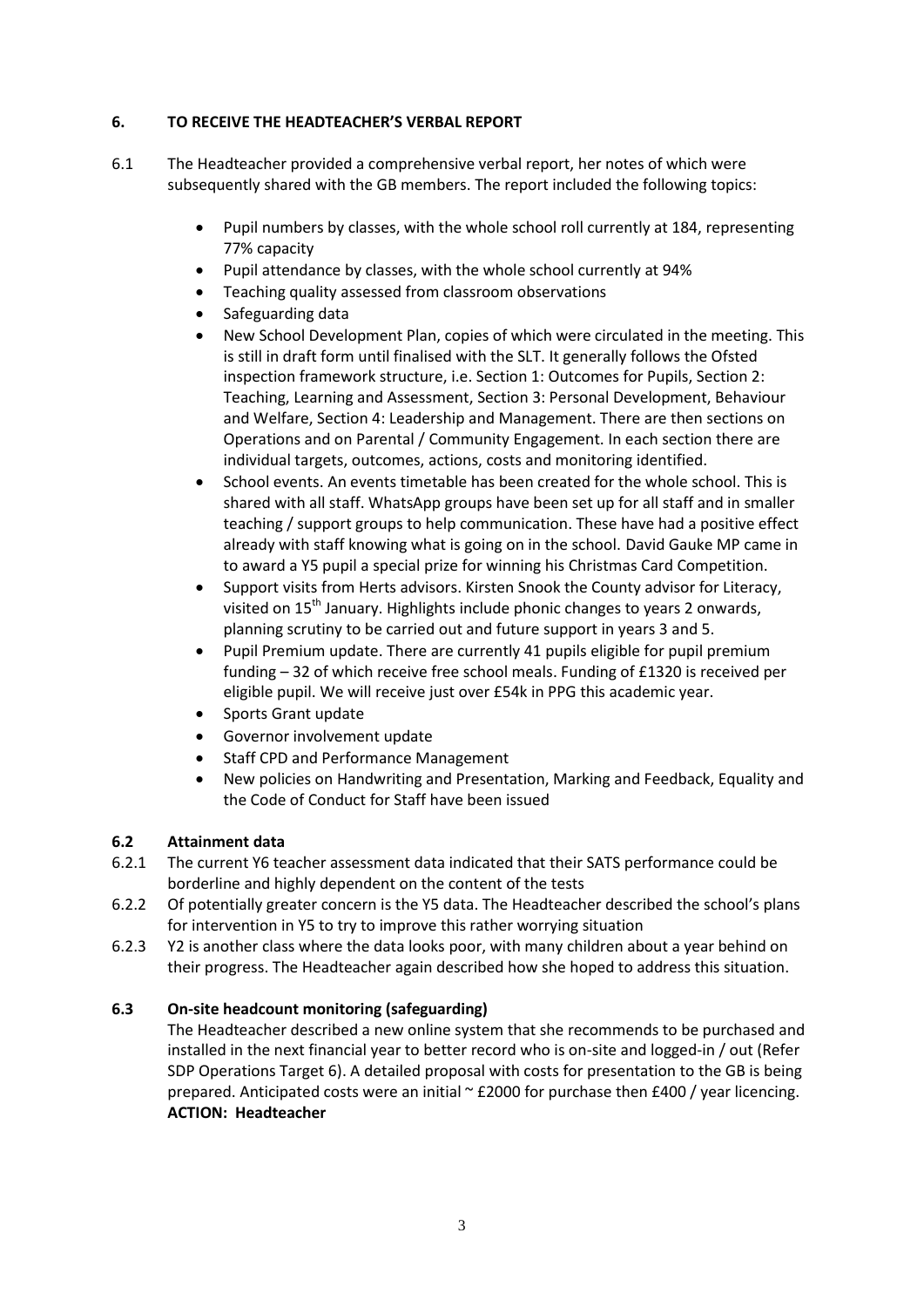## **6. TO RECEIVE THE HEADTEACHER'S VERBAL REPORT**

- 6.1 The Headteacher provided a comprehensive verbal report, her notes of which were subsequently shared with the GB members. The report included the following topics:
	- Pupil numbers by classes, with the whole school roll currently at 184, representing 77% capacity
	- Pupil attendance by classes, with the whole school currently at 94%
	- Teaching quality assessed from classroom observations
	- Safeguarding data
	- New School Development Plan, copies of which were circulated in the meeting. This is still in draft form until finalised with the SLT. It generally follows the Ofsted inspection framework structure, i.e. Section 1: Outcomes for Pupils, Section 2: Teaching, Learning and Assessment, Section 3: Personal Development, Behaviour and Welfare, Section 4: Leadership and Management. There are then sections on Operations and on Parental / Community Engagement. In each section there are individual targets, outcomes, actions, costs and monitoring identified.
	- School events. An events timetable has been created for the whole school. This is shared with all staff. WhatsApp groups have been set up for all staff and in smaller teaching / support groups to help communication. These have had a positive effect already with staff knowing what is going on in the school. David Gauke MP came in to award a Y5 pupil a special prize for winning his Christmas Card Competition.
	- Support visits from Herts advisors. Kirsten Snook the County advisor for Literacy, visited on 15<sup>th</sup> January. Highlights include phonic changes to years 2 onwards, planning scrutiny to be carried out and future support in years 3 and 5.
	- Pupil Premium update. There are currently 41 pupils eligible for pupil premium funding – 32 of which receive free school meals. Funding of £1320 is received per eligible pupil. We will receive just over £54k in PPG this academic year.
	- Sports Grant update
	- Governor involvement update
	- Staff CPD and Performance Management
	- New policies on Handwriting and Presentation, Marking and Feedback, Equality and the Code of Conduct for Staff have been issued

# **6.2 Attainment data**

- 6.2.1 The current Y6 teacher assessment data indicated that their SATS performance could be borderline and highly dependent on the content of the tests
- 6.2.2 Of potentially greater concern is the Y5 data. The Headteacher described the school's plans for intervention in Y5 to try to improve this rather worrying situation
- 6.2.3 Y2 is another class where the data looks poor, with many children about a year behind on their progress. The Headteacher again described how she hoped to address this situation.

# **6.3 On-site headcount monitoring (safeguarding)**

The Headteacher described a new online system that she recommends to be purchased and installed in the next financial year to better record who is on-site and logged-in / out (Refer SDP Operations Target 6). A detailed proposal with costs for presentation to the GB is being prepared. Anticipated costs were an initial  $\sim$  £2000 for purchase then £400 / year licencing. **ACTION: Headteacher**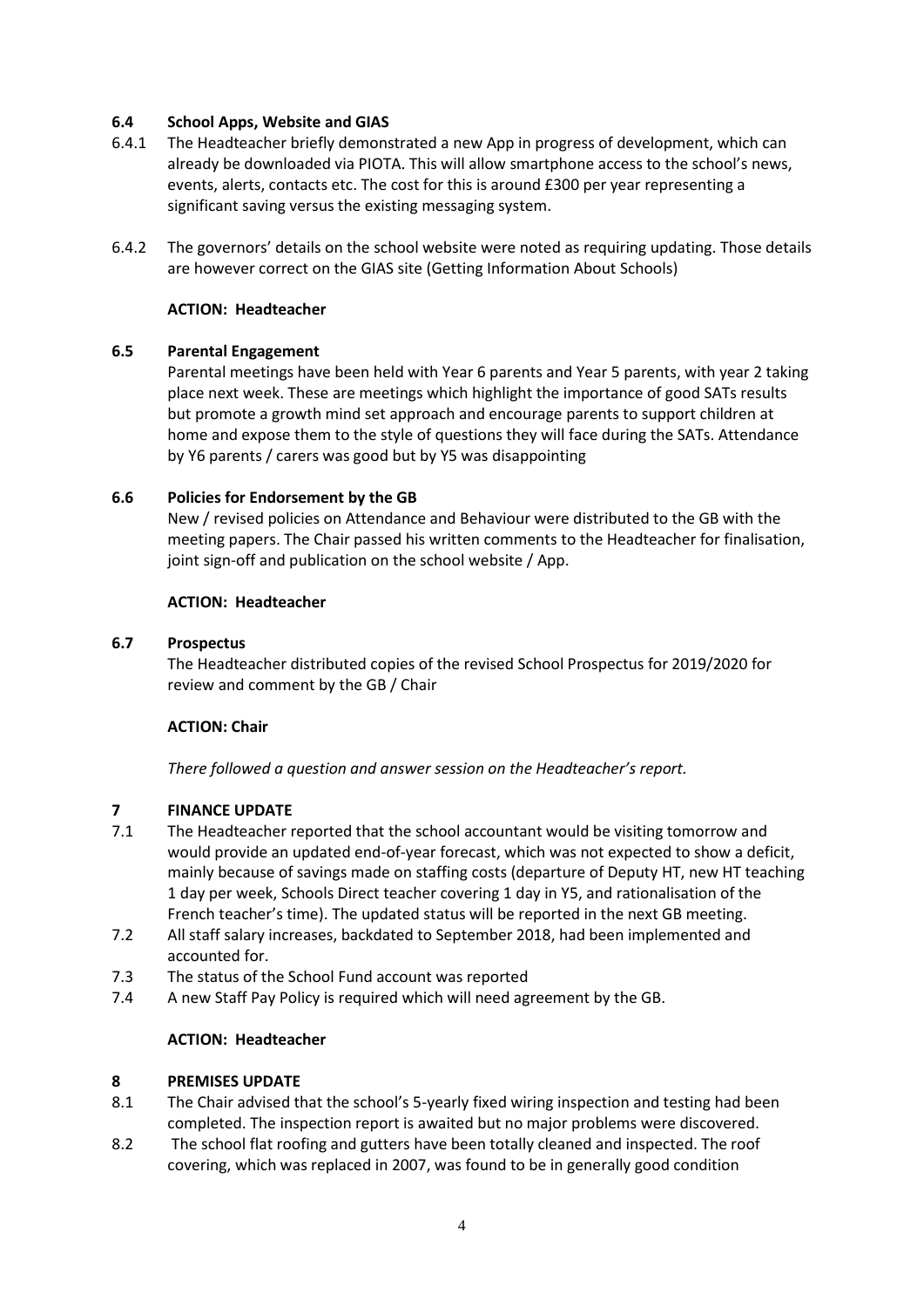# **6.4 School Apps, Website and GIAS**

- 6.4.1 The Headteacher briefly demonstrated a new App in progress of development, which can already be downloaded via PIOTA. This will allow smartphone access to the school's news, events, alerts, contacts etc. The cost for this is around £300 per year representing a significant saving versus the existing messaging system.
- 6.4.2 The governors' details on the school website were noted as requiring updating. Those details are however correct on the GIAS site (Getting Information About Schools)

## **ACTION: Headteacher**

## **6.5 Parental Engagement**

Parental meetings have been held with Year 6 parents and Year 5 parents, with year 2 taking place next week. These are meetings which highlight the importance of good SATs results but promote a growth mind set approach and encourage parents to support children at home and expose them to the style of questions they will face during the SATs. Attendance by Y6 parents / carers was good but by Y5 was disappointing

## **6.6 Policies for Endorsement by the GB**

New / revised policies on Attendance and Behaviour were distributed to the GB with the meeting papers. The Chair passed his written comments to the Headteacher for finalisation, joint sign-off and publication on the school website / App.

#### **ACTION: Headteacher**

#### **6.7 Prospectus**

The Headteacher distributed copies of the revised School Prospectus for 2019/2020 for review and comment by the GB / Chair

#### **ACTION: Chair**

*There followed a question and answer session on the Headteacher's report.*

# **7 FINANCE UPDATE**

- 7.1 The Headteacher reported that the school accountant would be visiting tomorrow and would provide an updated end-of-year forecast, which was not expected to show a deficit, mainly because of savings made on staffing costs (departure of Deputy HT, new HT teaching 1 day per week, Schools Direct teacher covering 1 day in Y5, and rationalisation of the French teacher's time). The updated status will be reported in the next GB meeting.
- 7.2 All staff salary increases, backdated to September 2018, had been implemented and accounted for.
- 7.3 The status of the School Fund account was reported
- 7.4 A new Staff Pay Policy is required which will need agreement by the GB.

#### **ACTION: Headteacher**

#### **8 PREMISES UPDATE**

- 8.1 The Chair advised that the school's 5-yearly fixed wiring inspection and testing had been completed. The inspection report is awaited but no major problems were discovered.
- 8.2 The school flat roofing and gutters have been totally cleaned and inspected. The roof covering, which was replaced in 2007, was found to be in generally good condition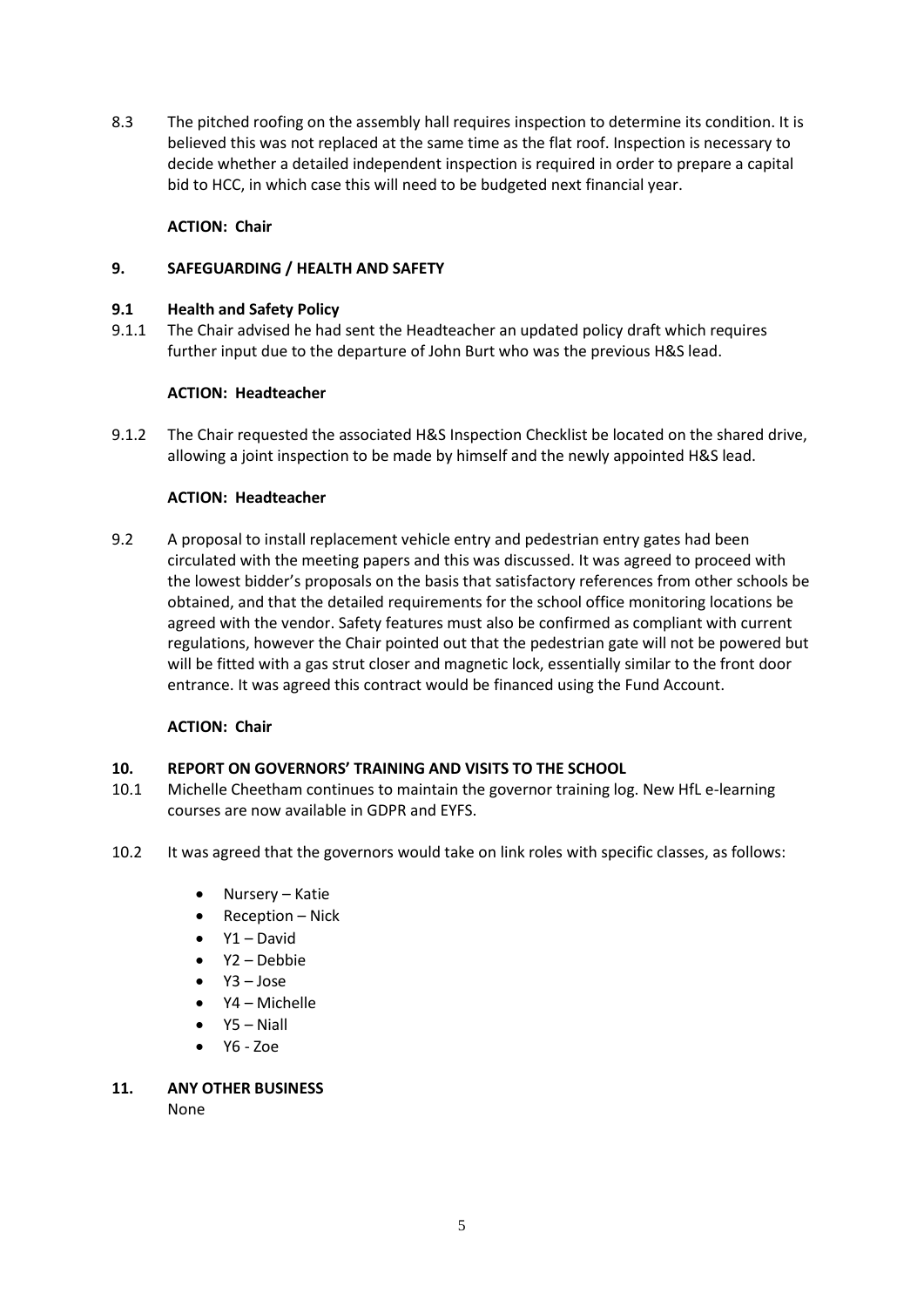8.3 The pitched roofing on the assembly hall requires inspection to determine its condition. It is believed this was not replaced at the same time as the flat roof. Inspection is necessary to decide whether a detailed independent inspection is required in order to prepare a capital bid to HCC, in which case this will need to be budgeted next financial year.

# **ACTION: Chair**

## **9. SAFEGUARDING / HEALTH AND SAFETY**

#### **9.1 Health and Safety Policy**

9.1.1 The Chair advised he had sent the Headteacher an updated policy draft which requires further input due to the departure of John Burt who was the previous H&S lead.

## **ACTION: Headteacher**

9.1.2 The Chair requested the associated H&S Inspection Checklist be located on the shared drive, allowing a joint inspection to be made by himself and the newly appointed H&S lead.

## **ACTION: Headteacher**

9.2 A proposal to install replacement vehicle entry and pedestrian entry gates had been circulated with the meeting papers and this was discussed. It was agreed to proceed with the lowest bidder's proposals on the basis that satisfactory references from other schools be obtained, and that the detailed requirements for the school office monitoring locations be agreed with the vendor. Safety features must also be confirmed as compliant with current regulations, however the Chair pointed out that the pedestrian gate will not be powered but will be fitted with a gas strut closer and magnetic lock, essentially similar to the front door entrance. It was agreed this contract would be financed using the Fund Account.

# **ACTION: Chair**

# **10. REPORT ON GOVERNORS' TRAINING AND VISITS TO THE SCHOOL**

- 10.1 Michelle Cheetham continues to maintain the governor training log. New HfL e-learning courses are now available in GDPR and EYFS.
- 10.2 It was agreed that the governors would take on link roles with specific classes, as follows:
	- Nursery Katie
	- Reception Nick
	- $Y1 David$
	- Y2 Debbie
	- Y3 Jose
	- Y4 Michelle
	- Y5 Niall
	- $Y6 Z0e$

# **11. ANY OTHER BUSINESS**

None